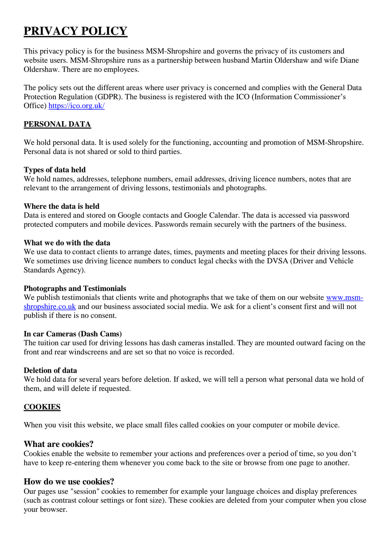# **PRIVACY POLICY**

This privacy policy is for the business MSM-Shropshire and governs the privacy of its customers and website users. MSM-Shropshire runs as a partnership between husband Martin Oldershaw and wife Diane Oldershaw. There are no employees.

The policy sets out the different areas where user privacy is concerned and complies with the General Data Protection Regulation (GDPR). The business is registered with the ICO (Information Commissioner's Office) <https://ico.org.uk/>

## **PERSONAL DATA**

We hold personal data. It is used solely for the functioning, accounting and promotion of MSM-Shropshire. Personal data is not shared or sold to third parties.

## **Types of data held**

We hold names, addresses, telephone numbers, email addresses, driving licence numbers, notes that are relevant to the arrangement of driving lessons, testimonials and photographs.

#### **Where the data is held**

Data is entered and stored on Google contacts and Google Calendar. The data is accessed via password protected computers and mobile devices. Passwords remain securely with the partners of the business.

#### **What we do with the data**

We use data to contact clients to arrange dates, times, payments and meeting places for their driving lessons. We sometimes use driving licence numbers to conduct legal checks with the DVSA (Driver and Vehicle Standards Agency).

## **Photographs and Testimonials**

We publish testimonials that clients write and photographs that we take of them on our website [www.msm](http://www.msm-shropshire.co.uk/)[shropshire.co.uk](http://www.msm-shropshire.co.uk/) and our business associated social media. We ask for a client's consent first and will not publish if there is no consent.

#### **In car Cameras (Dash Cams)**

The tuition car used for driving lessons has dash cameras installed. They are mounted outward facing on the front and rear windscreens and are set so that no voice is recorded.

## **Deletion of data**

We hold data for several years before deletion. If asked, we will tell a person what personal data we hold of them, and will delete if requested.

## **COOKIES**

When you visit this website, we place small files called cookies on your computer or mobile device.

## **What are cookies?**

Cookies enable the website to remember your actions and preferences over a period of time, so you don't have to keep re-entering them whenever you come back to the site or browse from one page to another.

# **How do we use cookies?**

Our pages use "session" cookies to remember for example your language choices and display preferences (such as contrast colour settings or font size). These cookies are deleted from your computer when you close your browser.